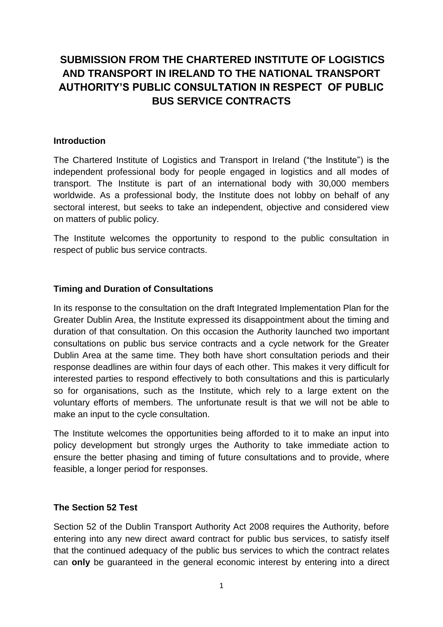# **SUBMISSION FROM THE CHARTERED INSTITUTE OF LOGISTICS AND TRANSPORT IN IRELAND TO THE NATIONAL TRANSPORT AUTHORITY'S PUBLIC CONSULTATION IN RESPECT OF PUBLIC BUS SERVICE CONTRACTS**

#### **Introduction**

The Chartered Institute of Logistics and Transport in Ireland ("the Institute") is the independent professional body for people engaged in logistics and all modes of transport. The Institute is part of an international body with 30,000 members worldwide. As a professional body, the Institute does not lobby on behalf of any sectoral interest, but seeks to take an independent, objective and considered view on matters of public policy.

The Institute welcomes the opportunity to respond to the public consultation in respect of public bus service contracts.

#### **Timing and Duration of Consultations**

In its response to the consultation on the draft Integrated Implementation Plan for the Greater Dublin Area, the Institute expressed its disappointment about the timing and duration of that consultation. On this occasion the Authority launched two important consultations on public bus service contracts and a cycle network for the Greater Dublin Area at the same time. They both have short consultation periods and their response deadlines are within four days of each other. This makes it very difficult for interested parties to respond effectively to both consultations and this is particularly so for organisations, such as the Institute, which rely to a large extent on the voluntary efforts of members. The unfortunate result is that we will not be able to make an input to the cycle consultation.

The Institute welcomes the opportunities being afforded to it to make an input into policy development but strongly urges the Authority to take immediate action to ensure the better phasing and timing of future consultations and to provide, where feasible, a longer period for responses.

#### **The Section 52 Test**

Section 52 of the Dublin Transport Authority Act 2008 requires the Authority, before entering into any new direct award contract for public bus services, to satisfy itself that the continued adequacy of the public bus services to which the contract relates can **only** be guaranteed in the general economic interest by entering into a direct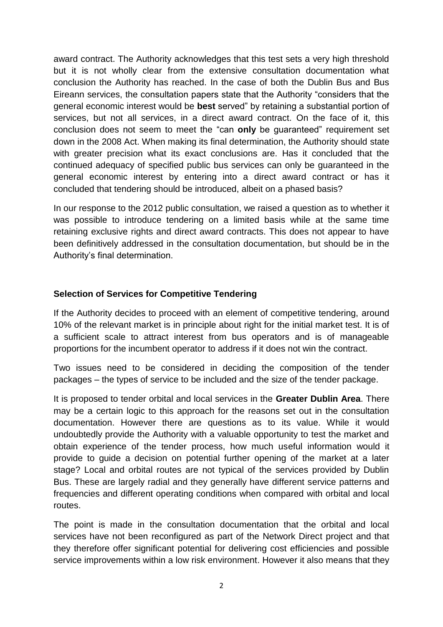award contract. The Authority acknowledges that this test sets a very high threshold but it is not wholly clear from the extensive consultation documentation what conclusion the Authority has reached. In the case of both the Dublin Bus and Bus Eireann services, the consultation papers state that the Authority "considers that the general economic interest would be **best** served" by retaining a substantial portion of services, but not all services, in a direct award contract. On the face of it, this conclusion does not seem to meet the "can **only** be guaranteed" requirement set down in the 2008 Act. When making its final determination, the Authority should state with greater precision what its exact conclusions are. Has it concluded that the continued adequacy of specified public bus services can only be guaranteed in the general economic interest by entering into a direct award contract or has it concluded that tendering should be introduced, albeit on a phased basis?

In our response to the 2012 public consultation, we raised a question as to whether it was possible to introduce tendering on a limited basis while at the same time retaining exclusive rights and direct award contracts. This does not appear to have been definitively addressed in the consultation documentation, but should be in the Authority's final determination.

### **Selection of Services for Competitive Tendering**

If the Authority decides to proceed with an element of competitive tendering, around 10% of the relevant market is in principle about right for the initial market test. It is of a sufficient scale to attract interest from bus operators and is of manageable proportions for the incumbent operator to address if it does not win the contract.

Two issues need to be considered in deciding the composition of the tender packages – the types of service to be included and the size of the tender package.

It is proposed to tender orbital and local services in the **Greater Dublin Area**. There may be a certain logic to this approach for the reasons set out in the consultation documentation. However there are questions as to its value. While it would undoubtedly provide the Authority with a valuable opportunity to test the market and obtain experience of the tender process, how much useful information would it provide to guide a decision on potential further opening of the market at a later stage? Local and orbital routes are not typical of the services provided by Dublin Bus. These are largely radial and they generally have different service patterns and frequencies and different operating conditions when compared with orbital and local routes.

The point is made in the consultation documentation that the orbital and local services have not been reconfigured as part of the Network Direct project and that they therefore offer significant potential for delivering cost efficiencies and possible service improvements within a low risk environment. However it also means that they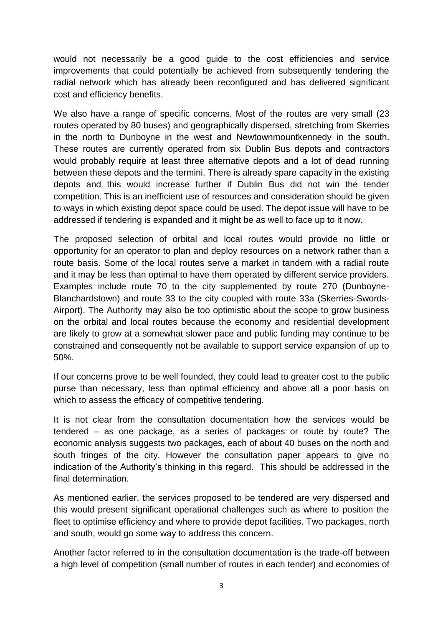would not necessarily be a good guide to the cost efficiencies and service improvements that could potentially be achieved from subsequently tendering the radial network which has already been reconfigured and has delivered significant cost and efficiency benefits.

We also have a range of specific concerns. Most of the routes are very small (23 routes operated by 80 buses) and geographically dispersed, stretching from Skerries in the north to Dunboyne in the west and Newtownmountkennedy in the south. These routes are currently operated from six Dublin Bus depots and contractors would probably require at least three alternative depots and a lot of dead running between these depots and the termini. There is already spare capacity in the existing depots and this would increase further if Dublin Bus did not win the tender competition. This is an inefficient use of resources and consideration should be given to ways in which existing depot space could be used. The depot issue will have to be addressed if tendering is expanded and it might be as well to face up to it now.

The proposed selection of orbital and local routes would provide no little or opportunity for an operator to plan and deploy resources on a network rather than a route basis. Some of the local routes serve a market in tandem with a radial route and it may be less than optimal to have them operated by different service providers. Examples include route 70 to the city supplemented by route 270 (Dunboyne-Blanchardstown) and route 33 to the city coupled with route 33a (Skerries-Swords-Airport). The Authority may also be too optimistic about the scope to grow business on the orbital and local routes because the economy and residential development are likely to grow at a somewhat slower pace and public funding may continue to be constrained and consequently not be available to support service expansion of up to 50%.

If our concerns prove to be well founded, they could lead to greater cost to the public purse than necessary, less than optimal efficiency and above all a poor basis on which to assess the efficacy of competitive tendering.

It is not clear from the consultation documentation how the services would be tendered – as one package, as a series of packages or route by route? The economic analysis suggests two packages, each of about 40 buses on the north and south fringes of the city. However the consultation paper appears to give no indication of the Authority's thinking in this regard. This should be addressed in the final determination.

As mentioned earlier, the services proposed to be tendered are very dispersed and this would present significant operational challenges such as where to position the fleet to optimise efficiency and where to provide depot facilities. Two packages, north and south, would go some way to address this concern.

Another factor referred to in the consultation documentation is the trade-off between a high level of competition (small number of routes in each tender) and economies of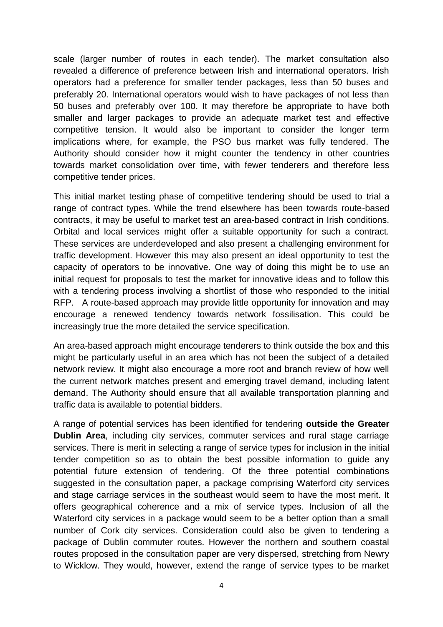scale (larger number of routes in each tender). The market consultation also revealed a difference of preference between Irish and international operators. Irish operators had a preference for smaller tender packages, less than 50 buses and preferably 20. International operators would wish to have packages of not less than 50 buses and preferably over 100. It may therefore be appropriate to have both smaller and larger packages to provide an adequate market test and effective competitive tension. It would also be important to consider the longer term implications where, for example, the PSO bus market was fully tendered. The Authority should consider how it might counter the tendency in other countries towards market consolidation over time, with fewer tenderers and therefore less competitive tender prices.

This initial market testing phase of competitive tendering should be used to trial a range of contract types. While the trend elsewhere has been towards route-based contracts, it may be useful to market test an area-based contract in Irish conditions. Orbital and local services might offer a suitable opportunity for such a contract. These services are underdeveloped and also present a challenging environment for traffic development. However this may also present an ideal opportunity to test the capacity of operators to be innovative. One way of doing this might be to use an initial request for proposals to test the market for innovative ideas and to follow this with a tendering process involving a shortlist of those who responded to the initial RFP. A route-based approach may provide little opportunity for innovation and may encourage a renewed tendency towards network fossilisation. This could be increasingly true the more detailed the service specification.

An area-based approach might encourage tenderers to think outside the box and this might be particularly useful in an area which has not been the subject of a detailed network review. It might also encourage a more root and branch review of how well the current network matches present and emerging travel demand, including latent demand. The Authority should ensure that all available transportation planning and traffic data is available to potential bidders.

A range of potential services has been identified for tendering **outside the Greater Dublin Area**, including city services, commuter services and rural stage carriage services. There is merit in selecting a range of service types for inclusion in the initial tender competition so as to obtain the best possible information to guide any potential future extension of tendering. Of the three potential combinations suggested in the consultation paper, a package comprising Waterford city services and stage carriage services in the southeast would seem to have the most merit. It offers geographical coherence and a mix of service types. Inclusion of all the Waterford city services in a package would seem to be a better option than a small number of Cork city services. Consideration could also be given to tendering a package of Dublin commuter routes. However the northern and southern coastal routes proposed in the consultation paper are very dispersed, stretching from Newry to Wicklow. They would, however, extend the range of service types to be market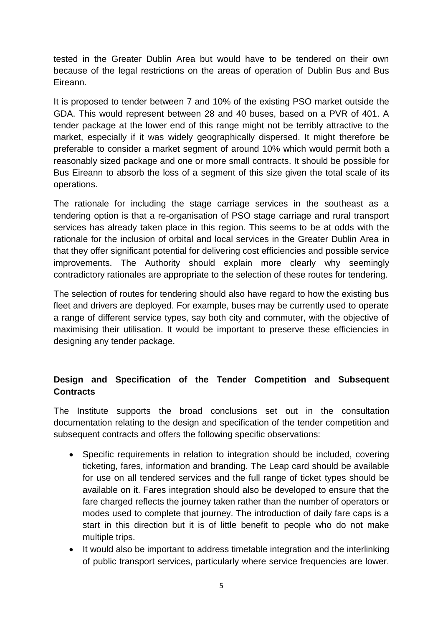tested in the Greater Dublin Area but would have to be tendered on their own because of the legal restrictions on the areas of operation of Dublin Bus and Bus Eireann.

It is proposed to tender between 7 and 10% of the existing PSO market outside the GDA. This would represent between 28 and 40 buses, based on a PVR of 401. A tender package at the lower end of this range might not be terribly attractive to the market, especially if it was widely geographically dispersed. It might therefore be preferable to consider a market segment of around 10% which would permit both a reasonably sized package and one or more small contracts. It should be possible for Bus Eireann to absorb the loss of a segment of this size given the total scale of its operations.

The rationale for including the stage carriage services in the southeast as a tendering option is that a re-organisation of PSO stage carriage and rural transport services has already taken place in this region. This seems to be at odds with the rationale for the inclusion of orbital and local services in the Greater Dublin Area in that they offer significant potential for delivering cost efficiencies and possible service improvements. The Authority should explain more clearly why seemingly contradictory rationales are appropriate to the selection of these routes for tendering.

The selection of routes for tendering should also have regard to how the existing bus fleet and drivers are deployed. For example, buses may be currently used to operate a range of different service types, say both city and commuter, with the objective of maximising their utilisation. It would be important to preserve these efficiencies in designing any tender package.

## **Design and Specification of the Tender Competition and Subsequent Contracts**

The Institute supports the broad conclusions set out in the consultation documentation relating to the design and specification of the tender competition and subsequent contracts and offers the following specific observations:

- Specific requirements in relation to integration should be included, covering ticketing, fares, information and branding. The Leap card should be available for use on all tendered services and the full range of ticket types should be available on it. Fares integration should also be developed to ensure that the fare charged reflects the journey taken rather than the number of operators or modes used to complete that journey. The introduction of daily fare caps is a start in this direction but it is of little benefit to people who do not make multiple trips.
- It would also be important to address timetable integration and the interlinking of public transport services, particularly where service frequencies are lower.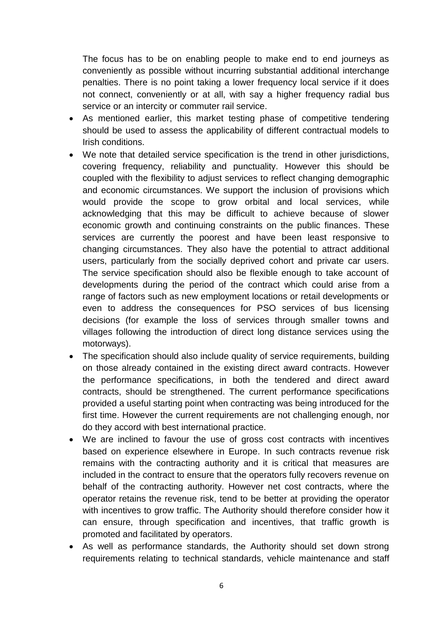The focus has to be on enabling people to make end to end journeys as conveniently as possible without incurring substantial additional interchange penalties. There is no point taking a lower frequency local service if it does not connect, conveniently or at all, with say a higher frequency radial bus service or an intercity or commuter rail service.

- As mentioned earlier, this market testing phase of competitive tendering should be used to assess the applicability of different contractual models to Irish conditions.
- We note that detailed service specification is the trend in other jurisdictions, covering frequency, reliability and punctuality. However this should be coupled with the flexibility to adjust services to reflect changing demographic and economic circumstances. We support the inclusion of provisions which would provide the scope to grow orbital and local services, while acknowledging that this may be difficult to achieve because of slower economic growth and continuing constraints on the public finances. These services are currently the poorest and have been least responsive to changing circumstances. They also have the potential to attract additional users, particularly from the socially deprived cohort and private car users. The service specification should also be flexible enough to take account of developments during the period of the contract which could arise from a range of factors such as new employment locations or retail developments or even to address the consequences for PSO services of bus licensing decisions (for example the loss of services through smaller towns and villages following the introduction of direct long distance services using the motorways).
- The specification should also include quality of service requirements, building on those already contained in the existing direct award contracts. However the performance specifications, in both the tendered and direct award contracts, should be strengthened. The current performance specifications provided a useful starting point when contracting was being introduced for the first time. However the current requirements are not challenging enough, nor do they accord with best international practice.
- We are inclined to favour the use of gross cost contracts with incentives based on experience elsewhere in Europe. In such contracts revenue risk remains with the contracting authority and it is critical that measures are included in the contract to ensure that the operators fully recovers revenue on behalf of the contracting authority. However net cost contracts, where the operator retains the revenue risk, tend to be better at providing the operator with incentives to grow traffic. The Authority should therefore consider how it can ensure, through specification and incentives, that traffic growth is promoted and facilitated by operators.
- As well as performance standards, the Authority should set down strong requirements relating to technical standards, vehicle maintenance and staff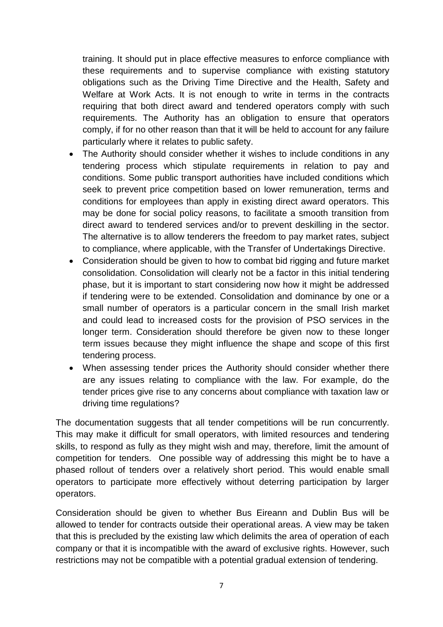training. It should put in place effective measures to enforce compliance with these requirements and to supervise compliance with existing statutory obligations such as the Driving Time Directive and the Health, Safety and Welfare at Work Acts. It is not enough to write in terms in the contracts requiring that both direct award and tendered operators comply with such requirements. The Authority has an obligation to ensure that operators comply, if for no other reason than that it will be held to account for any failure particularly where it relates to public safety.

- The Authority should consider whether it wishes to include conditions in any tendering process which stipulate requirements in relation to pay and conditions. Some public transport authorities have included conditions which seek to prevent price competition based on lower remuneration, terms and conditions for employees than apply in existing direct award operators. This may be done for social policy reasons, to facilitate a smooth transition from direct award to tendered services and/or to prevent deskilling in the sector. The alternative is to allow tenderers the freedom to pay market rates, subject to compliance, where applicable, with the Transfer of Undertakings Directive.
- Consideration should be given to how to combat bid rigging and future market consolidation. Consolidation will clearly not be a factor in this initial tendering phase, but it is important to start considering now how it might be addressed if tendering were to be extended. Consolidation and dominance by one or a small number of operators is a particular concern in the small Irish market and could lead to increased costs for the provision of PSO services in the longer term. Consideration should therefore be given now to these longer term issues because they might influence the shape and scope of this first tendering process.
- When assessing tender prices the Authority should consider whether there are any issues relating to compliance with the law. For example, do the tender prices give rise to any concerns about compliance with taxation law or driving time regulations?

The documentation suggests that all tender competitions will be run concurrently. This may make it difficult for small operators, with limited resources and tendering skills, to respond as fully as they might wish and may, therefore, limit the amount of competition for tenders. One possible way of addressing this might be to have a phased rollout of tenders over a relatively short period. This would enable small operators to participate more effectively without deterring participation by larger operators.

Consideration should be given to whether Bus Eireann and Dublin Bus will be allowed to tender for contracts outside their operational areas. A view may be taken that this is precluded by the existing law which delimits the area of operation of each company or that it is incompatible with the award of exclusive rights. However, such restrictions may not be compatible with a potential gradual extension of tendering.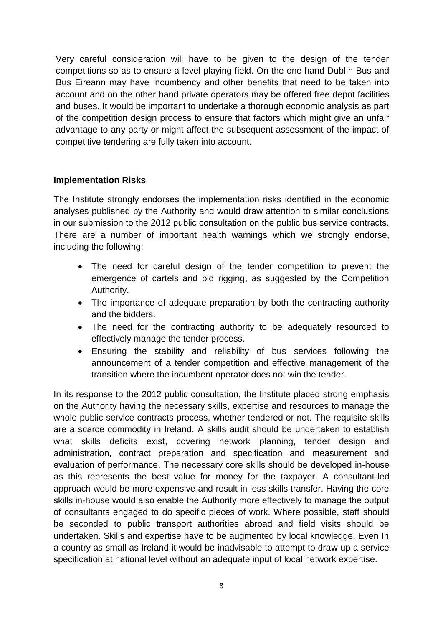Very careful consideration will have to be given to the design of the tender competitions so as to ensure a level playing field. On the one hand Dublin Bus and Bus Eireann may have incumbency and other benefits that need to be taken into account and on the other hand private operators may be offered free depot facilities and buses. It would be important to undertake a thorough economic analysis as part of the competition design process to ensure that factors which might give an unfair advantage to any party or might affect the subsequent assessment of the impact of competitive tendering are fully taken into account.

#### **Implementation Risks**

The Institute strongly endorses the implementation risks identified in the economic analyses published by the Authority and would draw attention to similar conclusions in our submission to the 2012 public consultation on the public bus service contracts. There are a number of important health warnings which we strongly endorse, including the following:

- The need for careful design of the tender competition to prevent the emergence of cartels and bid rigging, as suggested by the Competition Authority.
- The importance of adequate preparation by both the contracting authority and the bidders.
- The need for the contracting authority to be adequately resourced to effectively manage the tender process.
- Ensuring the stability and reliability of bus services following the announcement of a tender competition and effective management of the transition where the incumbent operator does not win the tender.

In its response to the 2012 public consultation, the Institute placed strong emphasis on the Authority having the necessary skills, expertise and resources to manage the whole public service contracts process, whether tendered or not. The requisite skills are a scarce commodity in Ireland. A skills audit should be undertaken to establish what skills deficits exist, covering network planning, tender design and administration, contract preparation and specification and measurement and evaluation of performance. The necessary core skills should be developed in-house as this represents the best value for money for the taxpayer. A consultant-led approach would be more expensive and result in less skills transfer. Having the core skills in-house would also enable the Authority more effectively to manage the output of consultants engaged to do specific pieces of work. Where possible, staff should be seconded to public transport authorities abroad and field visits should be undertaken. Skills and expertise have to be augmented by local knowledge. Even In a country as small as Ireland it would be inadvisable to attempt to draw up a service specification at national level without an adequate input of local network expertise.